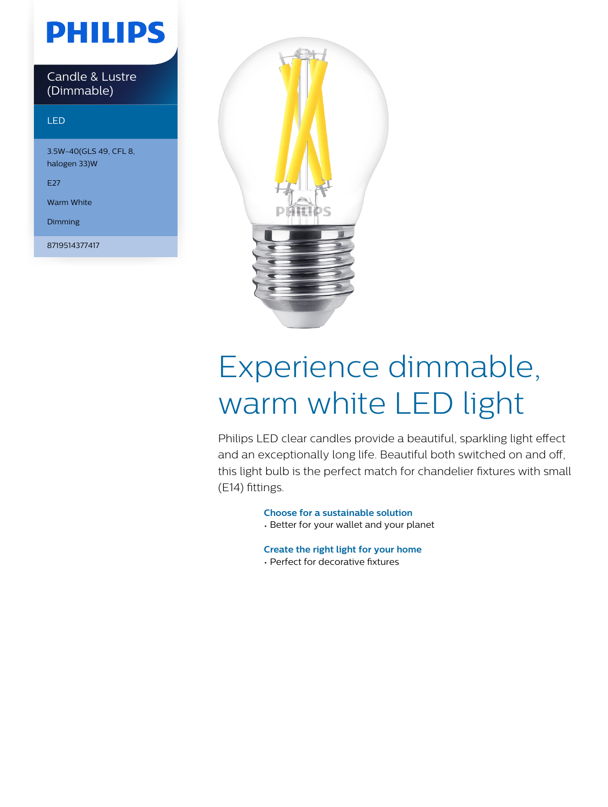## **PHILIPS**

Candle & Lustre (Dimmable)

#### LED

3.5W-40(GLS 49, CFL 8, halogen 33)W

E27

Warm White

Dimming

8719514377417



# Experience dimmable, warm white LED light

Philips LED clear candles provide a beautiful, sparkling light effect and an exceptionally long life. Beautiful both switched on and off, this light bulb is the perfect match for chandelier fixtures with small (E14) fittings.

**Choose for a sustainable solution**

• Better for your wallet and your planet

**Create the right light for your home**

• Perfect for decorative fixtures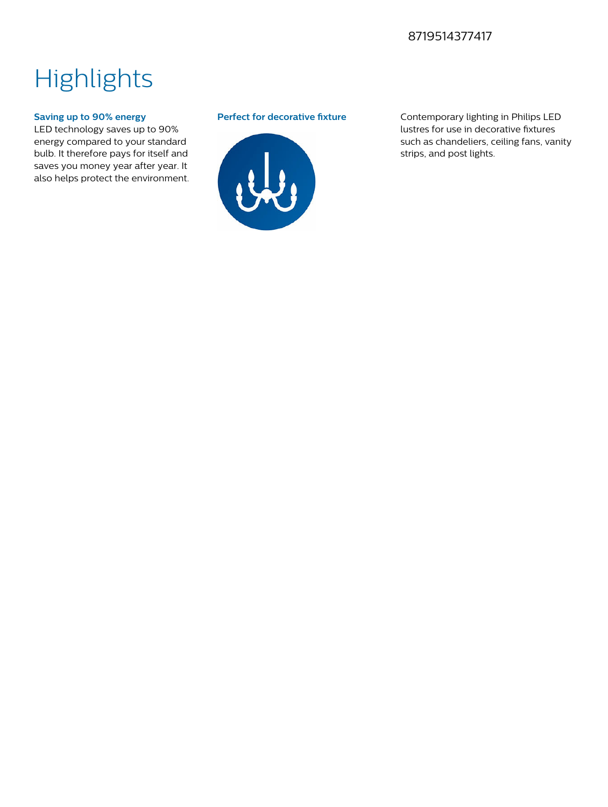### 8719514377417

### **Highlights**

#### **Saving up to 90% energy**

LED technology saves up to 90% energy compared to your standard bulb. It therefore pays for itself and saves you money year after year. It also helps protect the environment.



**Perfect for decorative fixture** Contemporary lighting in Philips LED lustres for use in decorative fixtures such as chandeliers, ceiling fans, vanity strips, and post lights.